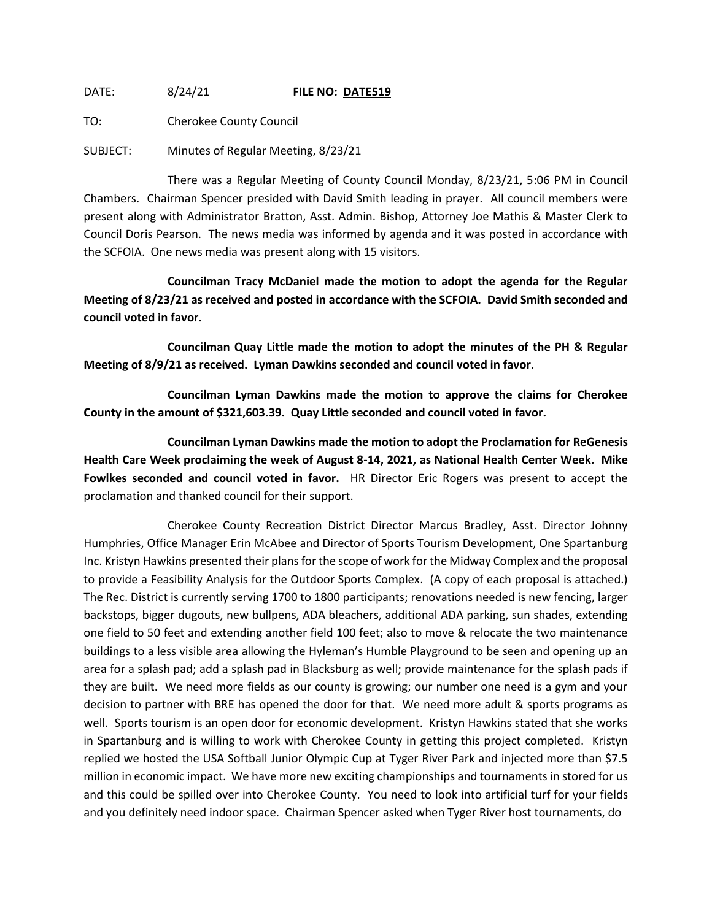DATE: 8/24/21 **FILE NO: DATE519**

TO: Cherokee County Council

SUBJECT: Minutes of Regular Meeting, 8/23/21

There was a Regular Meeting of County Council Monday, 8/23/21, 5:06 PM in Council Chambers. Chairman Spencer presided with David Smith leading in prayer. All council members were present along with Administrator Bratton, Asst. Admin. Bishop, Attorney Joe Mathis & Master Clerk to Council Doris Pearson. The news media was informed by agenda and it was posted in accordance with the SCFOIA. One news media was present along with 15 visitors.

**Councilman Tracy McDaniel made the motion to adopt the agenda for the Regular Meeting of 8/23/21 as received and posted in accordance with the SCFOIA. David Smith seconded and council voted in favor.**

**Councilman Quay Little made the motion to adopt the minutes of the PH & Regular Meeting of 8/9/21 as received. Lyman Dawkins seconded and council voted in favor.**

**Councilman Lyman Dawkins made the motion to approve the claims for Cherokee County in the amount of \$321,603.39. Quay Little seconded and council voted in favor.**

**Councilman Lyman Dawkins made the motion to adopt the Proclamation for ReGenesis Health Care Week proclaiming the week of August 8-14, 2021, as National Health Center Week. Mike Fowlkes seconded and council voted in favor.** HR Director Eric Rogers was present to accept the proclamation and thanked council for their support.

Cherokee County Recreation District Director Marcus Bradley, Asst. Director Johnny Humphries, Office Manager Erin McAbee and Director of Sports Tourism Development, One Spartanburg Inc. Kristyn Hawkins presented their plans for the scope of work for the Midway Complex and the proposal to provide a Feasibility Analysis for the Outdoor Sports Complex. (A copy of each proposal is attached.) The Rec. District is currently serving 1700 to 1800 participants; renovations needed is new fencing, larger backstops, bigger dugouts, new bullpens, ADA bleachers, additional ADA parking, sun shades, extending one field to 50 feet and extending another field 100 feet; also to move & relocate the two maintenance buildings to a less visible area allowing the Hyleman's Humble Playground to be seen and opening up an area for a splash pad; add a splash pad in Blacksburg as well; provide maintenance for the splash pads if they are built. We need more fields as our county is growing; our number one need is a gym and your decision to partner with BRE has opened the door for that. We need more adult & sports programs as well. Sports tourism is an open door for economic development. Kristyn Hawkins stated that she works in Spartanburg and is willing to work with Cherokee County in getting this project completed. Kristyn replied we hosted the USA Softball Junior Olympic Cup at Tyger River Park and injected more than \$7.5 million in economic impact. We have more new exciting championships and tournaments in stored for us and this could be spilled over into Cherokee County. You need to look into artificial turf for your fields and you definitely need indoor space. Chairman Spencer asked when Tyger River host tournaments, do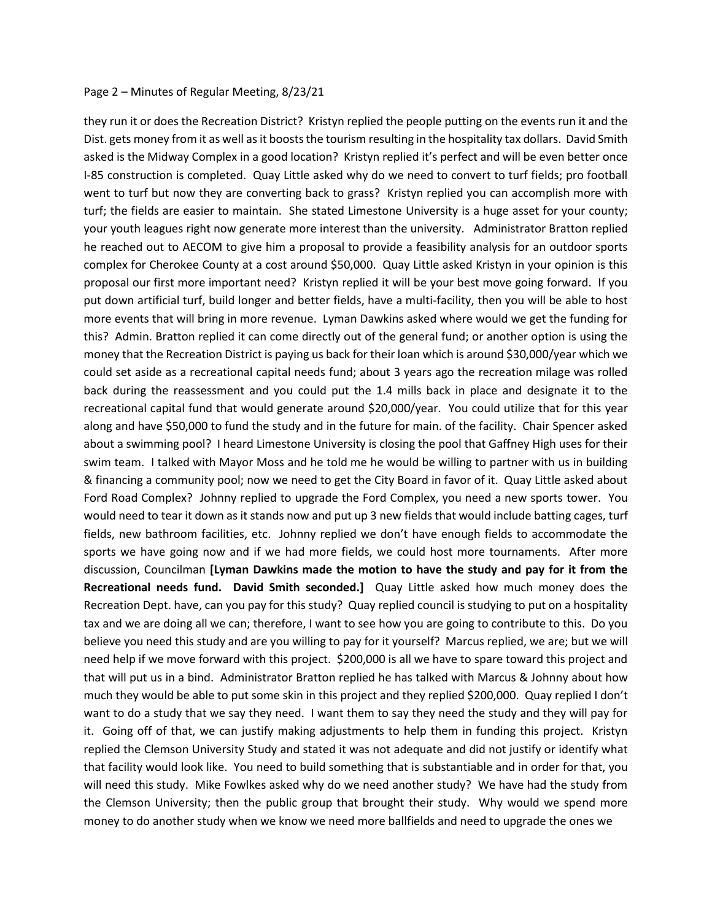## Page 2 – Minutes of Regular Meeting, 8/23/21

they run it or does the Recreation District? Kristyn replied the people putting on the events run it and the Dist. gets money from it as well as it boosts the tourism resulting in the hospitality tax dollars. David Smith asked is the Midway Complex in a good location? Kristyn replied it's perfect and will be even better once I-85 construction is completed. Quay Little asked why do we need to convert to turf fields; pro football went to turf but now they are converting back to grass? Kristyn replied you can accomplish more with turf; the fields are easier to maintain. She stated Limestone University is a huge asset for your county; your youth leagues right now generate more interest than the university. Administrator Bratton replied he reached out to AECOM to give him a proposal to provide a feasibility analysis for an outdoor sports complex for Cherokee County at a cost around \$50,000. Quay Little asked Kristyn in your opinion is this proposal our first more important need? Kristyn replied it will be your best move going forward. If you put down artificial turf, build longer and better fields, have a multi-facility, then you will be able to host more events that will bring in more revenue. Lyman Dawkins asked where would we get the funding for this? Admin. Bratton replied it can come directly out of the general fund; or another option is using the money that the Recreation District is paying us back for their loan which is around \$30,000/year which we could set aside as a recreational capital needs fund; about 3 years ago the recreation milage was rolled back during the reassessment and you could put the 1.4 mills back in place and designate it to the recreational capital fund that would generate around \$20,000/year. You could utilize that for this year along and have \$50,000 to fund the study and in the future for main. of the facility. Chair Spencer asked about a swimming pool? I heard Limestone University is closing the pool that Gaffney High uses for their swim team. I talked with Mayor Moss and he told me he would be willing to partner with us in building & financing a community pool; now we need to get the City Board in favor of it. Quay Little asked about Ford Road Complex? Johnny replied to upgrade the Ford Complex, you need a new sports tower. You would need to tear it down as it stands now and put up 3 new fields that would include batting cages, turf fields, new bathroom facilities, etc. Johnny replied we don't have enough fields to accommodate the sports we have going now and if we had more fields, we could host more tournaments. After more discussion, Councilman **[Lyman Dawkins made the motion to have the study and pay for it from the Recreational needs fund. David Smith seconded.]** Quay Little asked how much money does the Recreation Dept. have, can you pay for this study? Quay replied council is studying to put on a hospitality tax and we are doing all we can; therefore, I want to see how you are going to contribute to this. Do you believe you need this study and are you willing to pay for it yourself? Marcus replied, we are; but we will need help if we move forward with this project. \$200,000 is all we have to spare toward this project and that will put us in a bind. Administrator Bratton replied he has talked with Marcus & Johnny about how much they would be able to put some skin in this project and they replied \$200,000. Quay replied I don't want to do a study that we say they need. I want them to say they need the study and they will pay for it. Going off of that, we can justify making adjustments to help them in funding this project. Kristyn replied the Clemson University Study and stated it was not adequate and did not justify or identify what that facility would look like. You need to build something that is substantiable and in order for that, you will need this study. Mike Fowlkes asked why do we need another study? We have had the study from the Clemson University; then the public group that brought their study. Why would we spend more money to do another study when we know we need more ballfields and need to upgrade the ones we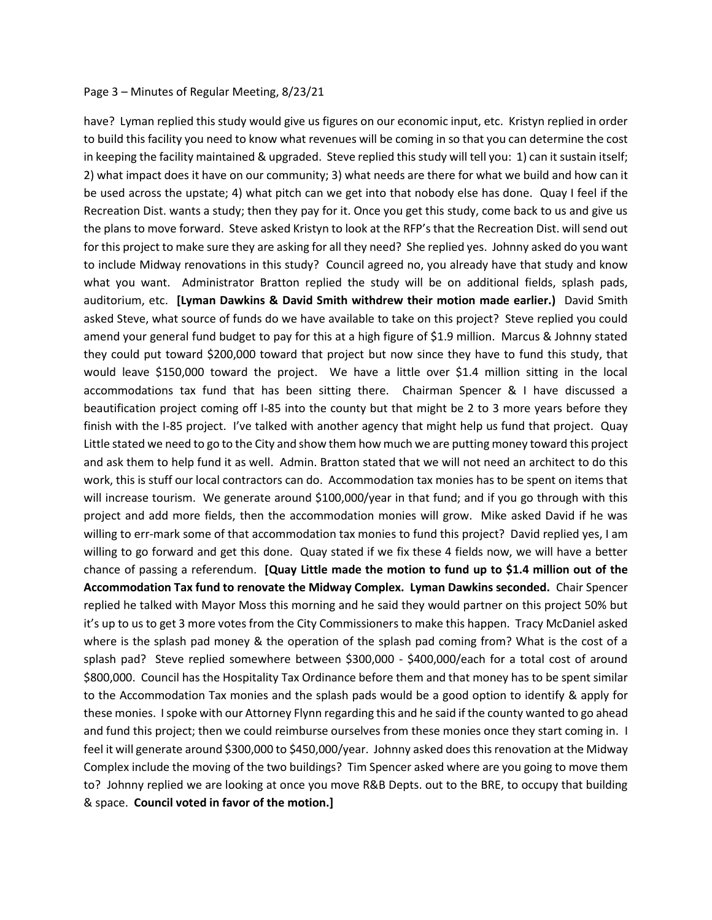## Page 3 – Minutes of Regular Meeting, 8/23/21

have? Lyman replied this study would give us figures on our economic input, etc. Kristyn replied in order to build this facility you need to know what revenues will be coming in so that you can determine the cost in keeping the facility maintained & upgraded. Steve replied this study will tell you: 1) can it sustain itself; 2) what impact does it have on our community; 3) what needs are there for what we build and how can it be used across the upstate; 4) what pitch can we get into that nobody else has done. Quay I feel if the Recreation Dist. wants a study; then they pay for it. Once you get this study, come back to us and give us the plans to move forward. Steve asked Kristyn to look at the RFP's that the Recreation Dist. will send out for this project to make sure they are asking for all they need? She replied yes. Johnny asked do you want to include Midway renovations in this study? Council agreed no, you already have that study and know what you want. Administrator Bratton replied the study will be on additional fields, splash pads, auditorium, etc. **[Lyman Dawkins & David Smith withdrew their motion made earlier.)** David Smith asked Steve, what source of funds do we have available to take on this project? Steve replied you could amend your general fund budget to pay for this at a high figure of \$1.9 million. Marcus & Johnny stated they could put toward \$200,000 toward that project but now since they have to fund this study, that would leave \$150,000 toward the project. We have a little over \$1.4 million sitting in the local accommodations tax fund that has been sitting there. Chairman Spencer & I have discussed a beautification project coming off I-85 into the county but that might be 2 to 3 more years before they finish with the I-85 project. I've talked with another agency that might help us fund that project. Quay Little stated we need to go to the City and show them how much we are putting money toward this project and ask them to help fund it as well. Admin. Bratton stated that we will not need an architect to do this work, this is stuff our local contractors can do. Accommodation tax monies has to be spent on items that will increase tourism. We generate around \$100,000/year in that fund; and if you go through with this project and add more fields, then the accommodation monies will grow. Mike asked David if he was willing to err-mark some of that accommodation tax monies to fund this project? David replied yes, I am willing to go forward and get this done. Quay stated if we fix these 4 fields now, we will have a better chance of passing a referendum. **[Quay Little made the motion to fund up to \$1.4 million out of the Accommodation Tax fund to renovate the Midway Complex. Lyman Dawkins seconded.** Chair Spencer replied he talked with Mayor Moss this morning and he said they would partner on this project 50% but it's up to us to get 3 more votes from the City Commissioners to make this happen. Tracy McDaniel asked where is the splash pad money & the operation of the splash pad coming from? What is the cost of a splash pad? Steve replied somewhere between \$300,000 - \$400,000/each for a total cost of around \$800,000. Council has the Hospitality Tax Ordinance before them and that money has to be spent similar to the Accommodation Tax monies and the splash pads would be a good option to identify & apply for these monies. I spoke with our Attorney Flynn regarding this and he said if the county wanted to go ahead and fund this project; then we could reimburse ourselves from these monies once they start coming in. I feel it will generate around \$300,000 to \$450,000/year. Johnny asked does this renovation at the Midway Complex include the moving of the two buildings? Tim Spencer asked where are you going to move them to? Johnny replied we are looking at once you move R&B Depts. out to the BRE, to occupy that building & space. **Council voted in favor of the motion.]**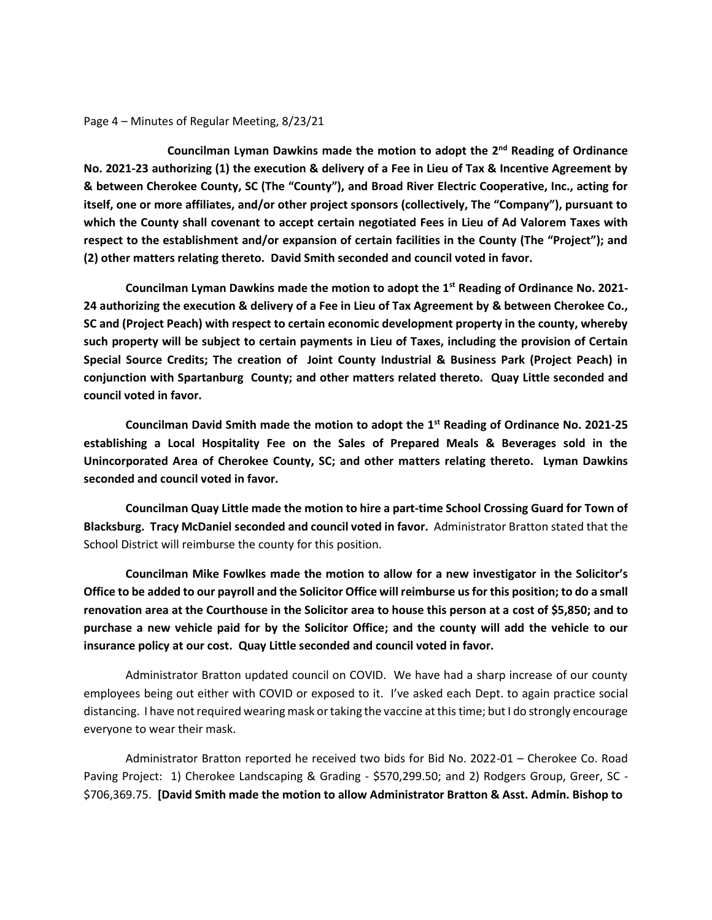Page 4 – Minutes of Regular Meeting, 8/23/21

**Councilman Lyman Dawkins made the motion to adopt the 2nd Reading of Ordinance No. 2021-23 authorizing (1) the execution & delivery of a Fee in Lieu of Tax & Incentive Agreement by & between Cherokee County, SC (The "County"), and Broad River Electric Cooperative, Inc., acting for itself, one or more affiliates, and/or other project sponsors (collectively, The "Company"), pursuant to which the County shall covenant to accept certain negotiated Fees in Lieu of Ad Valorem Taxes with respect to the establishment and/or expansion of certain facilities in the County (The "Project"); and (2) other matters relating thereto. David Smith seconded and council voted in favor.**

**Councilman Lyman Dawkins made the motion to adopt the 1st Reading of Ordinance No. 2021- 24 authorizing the execution & delivery of a Fee in Lieu of Tax Agreement by & between Cherokee Co., SC and (Project Peach) with respect to certain economic development property in the county, whereby such property will be subject to certain payments in Lieu of Taxes, including the provision of Certain Special Source Credits; The creation of Joint County Industrial & Business Park (Project Peach) in conjunction with Spartanburg County; and other matters related thereto. Quay Little seconded and council voted in favor.**

**Councilman David Smith made the motion to adopt the 1st Reading of Ordinance No. 2021-25 establishing a Local Hospitality Fee on the Sales of Prepared Meals & Beverages sold in the Unincorporated Area of Cherokee County, SC; and other matters relating thereto. Lyman Dawkins seconded and council voted in favor.**

**Councilman Quay Little made the motion to hire a part-time School Crossing Guard for Town of Blacksburg. Tracy McDaniel seconded and council voted in favor.** Administrator Bratton stated that the School District will reimburse the county for this position.

**Councilman Mike Fowlkes made the motion to allow for a new investigator in the Solicitor's Office to be added to our payroll and the Solicitor Office will reimburse us for this position; to do a small renovation area at the Courthouse in the Solicitor area to house this person at a cost of \$5,850; and to purchase a new vehicle paid for by the Solicitor Office; and the county will add the vehicle to our insurance policy at our cost. Quay Little seconded and council voted in favor.**

Administrator Bratton updated council on COVID. We have had a sharp increase of our county employees being out either with COVID or exposed to it. I've asked each Dept. to again practice social distancing. I have not required wearing mask or taking the vaccine at this time; but I do strongly encourage everyone to wear their mask.

Administrator Bratton reported he received two bids for Bid No. 2022-01 – Cherokee Co. Road Paving Project: 1) Cherokee Landscaping & Grading - \$570,299.50; and 2) Rodgers Group, Greer, SC - \$706,369.75. **[David Smith made the motion to allow Administrator Bratton & Asst. Admin. Bishop to**